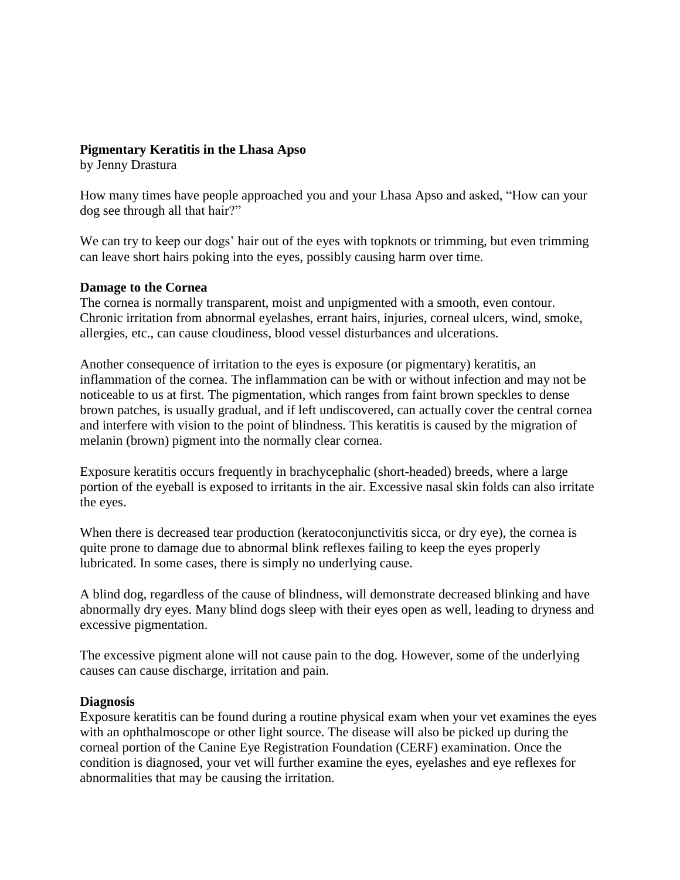## **Pigmentary Keratitis in the Lhasa Apso**

by Jenny Drastura

How many times have people approached you and your Lhasa Apso and asked, "How can your dog see through all that hair?"

We can try to keep our dogs' hair out of the eyes with topknots or trimming, but even trimming can leave short hairs poking into the eyes, possibly causing harm over time.

## **Damage to the Cornea**

The cornea is normally transparent, moist and unpigmented with a smooth, even contour. Chronic irritation from abnormal eyelashes, errant hairs, injuries, corneal ulcers, wind, smoke, allergies, etc., can cause cloudiness, blood vessel disturbances and ulcerations.

Another consequence of irritation to the eyes is exposure (or pigmentary) keratitis, an inflammation of the cornea. The inflammation can be with or without infection and may not be noticeable to us at first. The pigmentation, which ranges from faint brown speckles to dense brown patches, is usually gradual, and if left undiscovered, can actually cover the central cornea and interfere with vision to the point of blindness. This keratitis is caused by the migration of melanin (brown) pigment into the normally clear cornea.

Exposure keratitis occurs frequently in brachycephalic (short-headed) breeds, where a large portion of the eyeball is exposed to irritants in the air. Excessive nasal skin folds can also irritate the eyes.

When there is decreased tear production (keratoconjunctivitis sicca, or dry eye), the cornea is quite prone to damage due to abnormal blink reflexes failing to keep the eyes properly lubricated. In some cases, there is simply no underlying cause.

A blind dog, regardless of the cause of blindness, will demonstrate decreased blinking and have abnormally dry eyes. Many blind dogs sleep with their eyes open as well, leading to dryness and excessive pigmentation.

The excessive pigment alone will not cause pain to the dog. However, some of the underlying causes can cause discharge, irritation and pain.

## **Diagnosis**

Exposure keratitis can be found during a routine physical exam when your vet examines the eyes with an ophthalmoscope or other light source. The disease will also be picked up during the corneal portion of the Canine Eye Registration Foundation (CERF) examination. Once the condition is diagnosed, your vet will further examine the eyes, eyelashes and eye reflexes for abnormalities that may be causing the irritation.